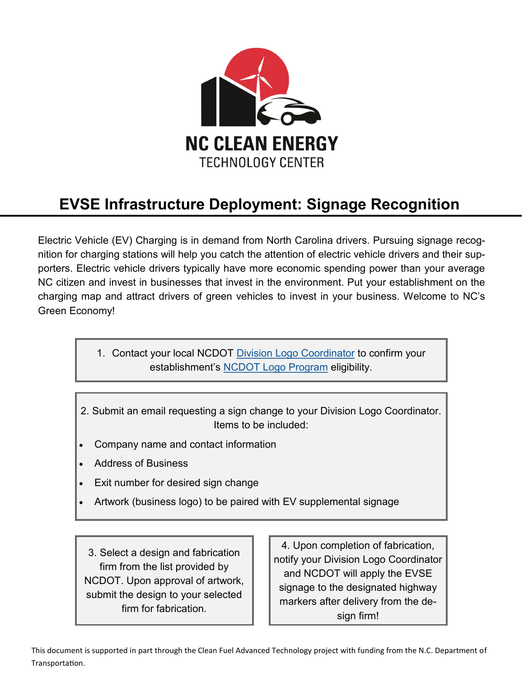

## **EVSE Infrastructure Deployment: Signage Recognition**

Electric Vehicle (EV) Charging is in demand from North Carolina drivers. Pursuing signage recognition for charging stations will help you catch the attention of electric vehicle drivers and their supporters. Electric vehicle drivers typically have more economic spending power than your average NC citizen and invest in businesses that invest in the environment. Put your establishment on the charging map and attract drivers of green vehicles to invest in your business. Welcome to NC's Green Economy!

> 1. Contact your local NCDOT [Division Logo Coordinator](https://connect.ncdot.gov/resources/safety/Signing%20and%20Delineation%20Library/Division%20Logo%20and%20TODS%20Program%20Coordinators.pdf) to confirm your establishment's [NCDOT Logo Program](https://connect.ncdot.gov/resources/safety/Pages/Signing-and-Delineation.aspx) eligibility.

- 2. Submit an email requesting a sign change to your Division Logo Coordinator. Items to be included:
- Company name and contact information
- Address of Business
- Exit number for desired sign change
- Artwork (business logo) to be paired with EV supplemental signage

3. Select a design and fabrication firm from the list provided by NCDOT. Upon approval of artwork, submit the design to your selected firm for fabrication.

4. Upon completion of fabrication, notify your Division Logo Coordinator and NCDOT will apply the EVSE signage to the designated highway markers after delivery from the design firm!

This document is supported in part through the Clean Fuel Advanced Technology project with funding from the N.C. Department of Transportation.